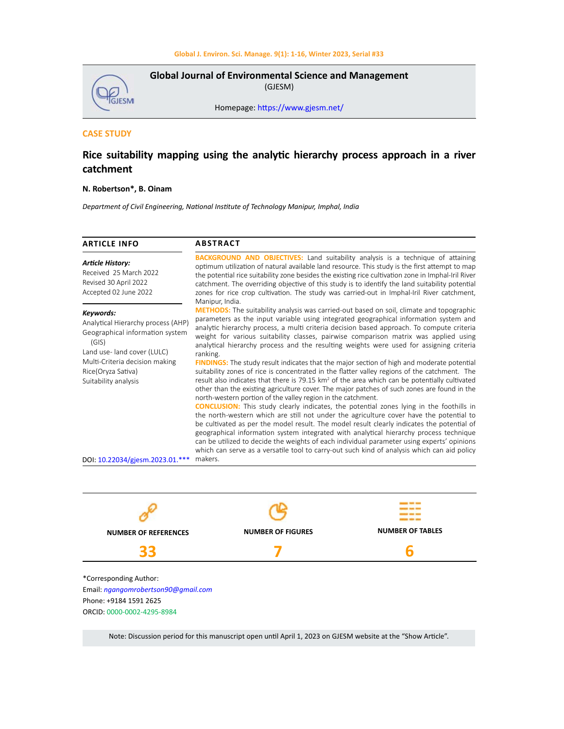

**Global Journal of Environmental Science and Management**  (GJESM)

Homepage: [https://www.gjesm.net/](https://www.gjesm.net/ )

# **CASE STUDY**

# **Rice suitability mapping using the analytic hierarchy process approach in a river catchment**

## **N. Robertson\*, B. Oinam**

*Department of Civil Engineering, National Institute of Technology Manipur, Imphal, India*

| <b>ARTICLE INFO</b>                                                                                                                                                               | <b>ABSTRACT</b>                                                                                                                                                                                                                                                                                                                                                                                                                                                                                                                                                                                                                                                                                                                                                                                |  |  |  |
|-----------------------------------------------------------------------------------------------------------------------------------------------------------------------------------|------------------------------------------------------------------------------------------------------------------------------------------------------------------------------------------------------------------------------------------------------------------------------------------------------------------------------------------------------------------------------------------------------------------------------------------------------------------------------------------------------------------------------------------------------------------------------------------------------------------------------------------------------------------------------------------------------------------------------------------------------------------------------------------------|--|--|--|
| <b>Article History:</b><br>Received 25 March 2022<br>Revised 30 April 2022<br>Accepted 02 June 2022                                                                               | <b>BACKGROUND AND OBJECTIVES:</b> Land suitability analysis is a technique of attaining<br>optimum utilization of natural available land resource. This study is the first attempt to map<br>the potential rice suitability zone besides the existing rice cultivation zone in Imphal-Iril River<br>catchment. The overriding objective of this study is to identify the land suitability potential<br>zones for rice crop cultivation. The study was carried-out in Imphal-Iril River catchment,<br>Manipur, India.                                                                                                                                                                                                                                                                           |  |  |  |
| Keywords:<br>Analytical Hierarchy process (AHP)<br>Geographical information system<br>(GIS)<br>Land use-land cover (LULC)<br>Multi-Criteria decision making<br>Rice(Oryza Sativa) | <b>METHODS:</b> The suitability analysis was carried-out based on soil, climate and topographic<br>parameters as the input variable using integrated geographical information system and<br>analytic hierarchy process, a multi criteria decision based approach. To compute criteria<br>weight for various suitability classes, pairwise comparison matrix was applied using<br>analytical hierarchy process and the resulting weights were used for assigning criteria<br>ranking.<br><b>FINDINGS:</b> The study result indicates that the major section of high and moderate potential<br>suitability zones of rice is concentrated in the flatter valley regions of the catchment. The<br>result also indicates that there is 79.15 $km^2$ of the area which can be potentially cultivated |  |  |  |
| Suitability analysis                                                                                                                                                              | other than the existing agriculture cover. The major patches of such zones are found in the<br>north-western portion of the valley region in the catchment.<br><b>CONCLUSION:</b> This study clearly indicates, the potential zones lying in the foothills in<br>the north-western which are still not under the agriculture cover have the potential to<br>be cultivated as per the model result. The model result clearly indicates the potential of<br>geographical information system integrated with analytical hierarchy process technique<br>can be utilized to decide the weights of each individual parameter using experts' opinions<br>which can serve as a versatile tool to carry-out such kind of analysis which can aid policy                                                  |  |  |  |
| DOI: 10.22034/gjesm.2023.01.***                                                                                                                                                   | makers.                                                                                                                                                                                                                                                                                                                                                                                                                                                                                                                                                                                                                                                                                                                                                                                        |  |  |  |



Note: Discussion period for this manuscript open until April 1, 2023 on GJESM website at the "Show Article".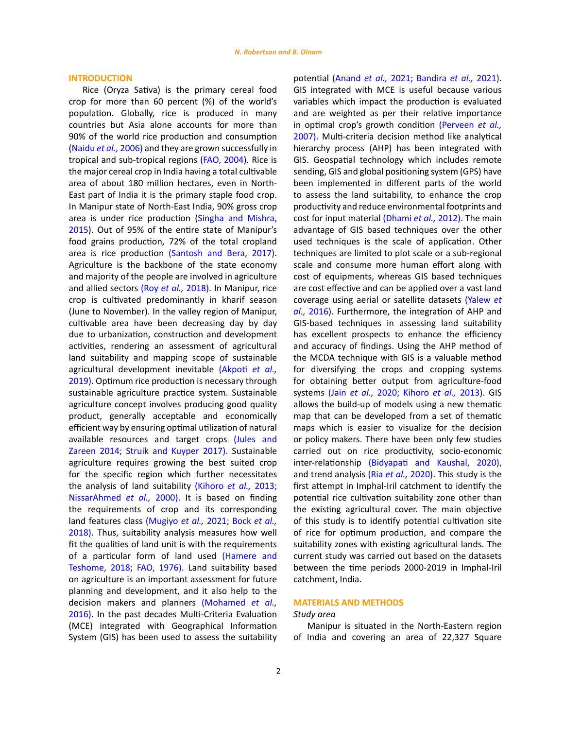#### **INTRODUCTION**

Rice (Oryza Sativa) is the primary cereal food crop for more than 60 percent (%) of the world's population. Globally, rice is produced in many countries but Asia alone accounts for more than 90% of the world rice production and consumption ([Naidu](#page-14-0) *et al.,* 2006) and they are grown successfully in tropical and sub-tropical regions [\(FAO, 2004](#page-14-0)). Rice is the major cereal crop in India having a total cultivable area of about 180 million hectares, even in North-East part of India it is the primary staple food crop. In Manipur state of North-East India, 90% gross crop area is under rice production ([Singha and Mishra,](#page-14-0)  [2015](#page-14-0)). Out of 95% of the entire state of Manipur's food grains production, 72% of the total cropland area is rice production ([Santosh and Bera, 2017](#page-14-0)). Agriculture is the backbone of the state economy and majority of the people are involved in agriculture and allied sectors (Roy *[et al.,](#page-14-0)* 2018). In Manipur, rice crop is cultivated predominantly in kharif season (June to November). In the valley region of Manipur, cultivable area have been decreasing day by day due to urbanization, construction and development activities, rendering an assessment of agricultural land suitability and mapping scope of sustainable agricultural development inevitable [\(Akpoti](#page-14-0) *et al.,* [2019\)](#page-14-0). Optimum rice production is necessary through sustainable agriculture practice system. Sustainable agriculture concept involves producing good quality product, generally acceptable and economically efficient way by ensuring optimal utilization of natural available resources and target crops [\(Jules and](#page-14-0)  [Zareen 2014; Struik and Kuyper 2017\).](#page-14-0) Sustainable agriculture requires growing the best suited crop for the specific region which further necessitates the analysis of land suitability [\(Kihoro](#page-14-0) *et al.,* 2013; [NissarAhmed](#page-14-0) *et al.,* 2000). It is based on finding the requirements of crop and its corresponding land features class (Mugiyo *et al.,* [2021; Bock](#page-14-0) *et al.,* [2018\)](#page-14-0). Thus, suitability analysis measures how well fit the qualities of land unit is with the requirements of a particular form of land used [\(Hamere and](#page-14-0)  [Teshome, 2018; FAO, 1976\)](#page-14-0). Land suitability based on agriculture is an important assessment for future planning and development, and it also help to the decision makers and planners [\(Mohamed](#page-14-0) *et al.,*  [2016\)](#page-14-0). In the past decades Multi-Criteria Evaluation (MCE) integrated with Geographical Information System (GIS) has been used to assess the suitability

potential (Anand *et al.,* [2021; Bandira](#page-14-0) *et al.,* 2021). GIS integrated with MCE is useful because various variables which impact the production is evaluated and are weighted as per their relative importance in optimal crop's growth condition [\(Perveen](#page-14-0) *et al.,* [2007\).](#page-14-0) Multi-criteria decision method like analytical hierarchy process (AHP) has been integrated with GIS. Geospatial technology which includes remote sending, GIS and global positioning system (GPS) have been implemented in different parts of the world to assess the land suitability, to enhance the crop productivity and reduce environmental footprints and cost for input material [\(Dhami](#page-14-0) *et al.,* 2012). The main advantage of GIS based techniques over the other used techniques is the scale of application. Other techniques are limited to plot scale or a sub-regional scale and consume more human effort along with cost of equipments, whereas GIS based techniques are cost effective and can be applied over a vast land coverage using aerial or satellite datasets [\(Yalew](#page-14-0) *et al.,* [2016](#page-14-0)). Furthermore, the integration of AHP and GIS-based techniques in assessing land suitability has excellent prospects to enhance the efficiency and accuracy of findings. Using the AHP method of the MCDA technique with GIS is a valuable method for diversifying the crops and cropping systems for obtaining better output from agriculture-food systems (Jain *et al.,* [2020; Kihoro](#page-14-0) *et al.,* 2013). GIS allows the build-up of models using a new thematic map that can be developed from a set of thematic maps which is easier to visualize for the decision or policy makers. There have been only few studies carried out on rice productivity, socio-economic inter-relationship [\(Bidyapati and Kaushal, 2020\),](#page-14-0) and trend analysis (Ria *[et al.,](#page-14-0)* 2020). This study is the first attempt in Imphal-Iril catchment to identify the potential rice cultivation suitability zone other than the existing agricultural cover. The main objective of this study is to identify potential cultivation site of rice for optimum production, and compare the suitability zones with existing agricultural lands. The current study was carried out based on the datasets between the time periods 2000-2019 in Imphal-Iril catchment, India.

#### **MATERIALS AND METHODS**

#### *Study area*

Manipur is situated in the North-Eastern region of India and covering an area of 22,327 Square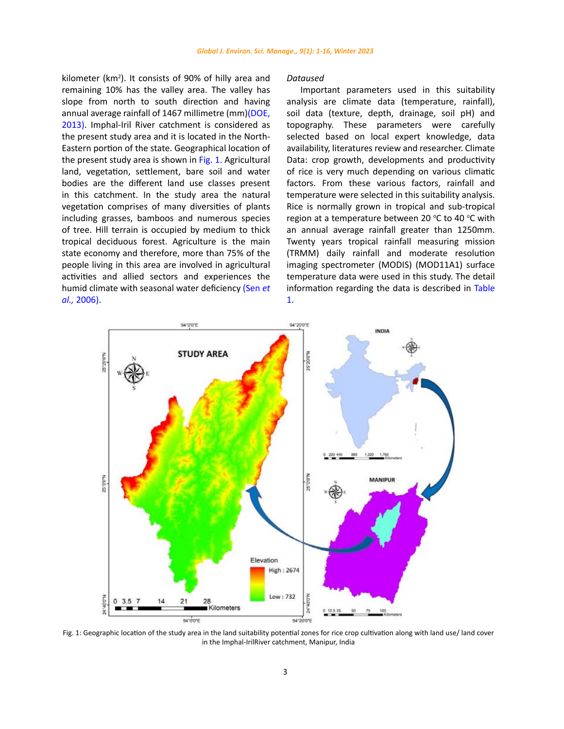kilometer (km<sup>2</sup>). It consists of 90% of hilly area and remaining 10% has the valley area. The valley has slope from north to south direction and having annual average rainfall of 1467 millimetre (mm)(DOE, [2013\)](#page-14-0). Imphal-Iril River catchment is considered as the present study area and it is located in the North-Eastern portion of the state. Geographical location of the present study area is shown in [Fig. 1.](#page-2-0) Agricultural land, vegetation, settlement, bare soil and water bodies are the different land use classes present in this catchment. In the study area the natural vegetation comprises of many diversities of plants including grasses, bamboos and numerous species of tree. Hill terrain is occupied by medium to thick tropical deciduous forest. Agriculture is the main state economy and therefore, more than 75% of the people living in this area are involved in agricultural activities and allied sectors and experiences the humid climate with seasonal water deficiency [\(Sen](#page-14-0) *et al.,* [2006\)](#page-14-0).

#### *Dataused*

Important parameters used in this suitability analysis are climate data (temperature, rainfall), soil data (texture, depth, drainage, soil pH) and topography. These parameters were carefully selected based on local expert knowledge, data availability, literatures review and researcher. Climate Data: crop growth, developments and productivity of rice is very much depending on various climatic factors. From these various factors, rainfall and temperature were selected in this suitability analysis. Rice is normally grown in tropical and sub-tropical region at a temperature between 20 °C to 40 °C with an annual average rainfall greater than 1250mm. Twenty years tropical rainfall measuring mission (TRMM) daily rainfall and moderate resolution imaging spectrometer (MODIS) (MOD11A1) surface temperature data were used in this study. The detail information regarding the data is described in Table 1.

<span id="page-2-0"></span>

Fig. 1: Geographic location of the study area in the land suitability potential zones for rice crop cultivation along with land use/land cover in the Imphal-IrilRiver catchment, Manipur, India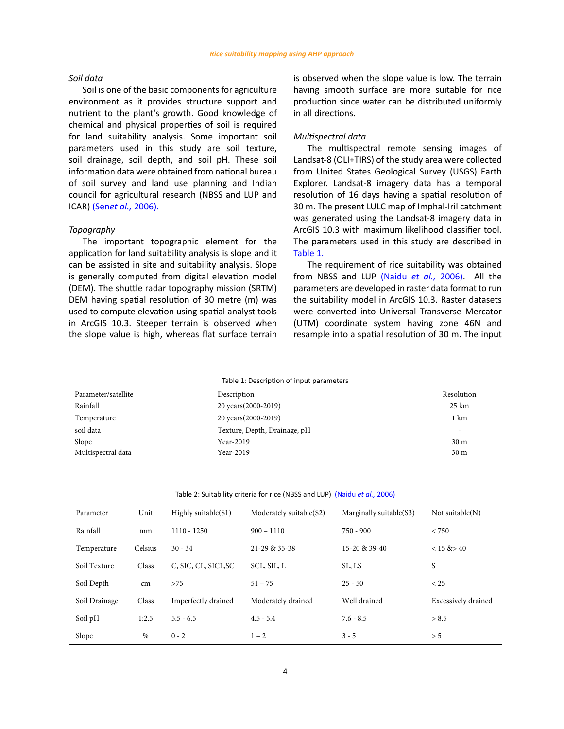## *Soil data*

Soil is one of the basic components for agriculture environment as it provides structure support and nutrient to the plant's growth. Good knowledge of chemical and physical properties of soil is required for land suitability analysis. Some important soil parameters used in this study are soil texture, soil drainage, soil depth, and soil pH. These soil information data were obtained from national bureau of soil survey and land use planning and Indian council for agricultural research (NBSS and LUP and ICAR) (Sen*et al.,* [2006\).](#page-14-0)

#### *Topography*

The important topographic element for the application for land suitability analysis is slope and it can be assisted in site and suitability analysis. Slope is generally computed from digital elevation model (DEM). The shuttle radar topography mission (SRTM) DEM having spatial resolution of 30 metre (m) was used to compute elevation using spatial analyst tools in ArcGIS 10.3. Steeper terrain is observed when the slope value is high, whereas flat surface terrain is observed when the slope value is low. The terrain having smooth surface are more suitable for rice production since water can be distributed uniformly in all directions.

## *Multispectral data*

The multispectral remote sensing images of Landsat-8 (OLI+TIRS) of the study area were collected from United States Geological Survey (USGS) Earth Explorer. Landsat-8 imagery data has a temporal resolution of 16 days having a spatial resolution of 30 m. The present LULC map of Imphal-Iril catchment was generated using the Landsat-8 imagery data in ArcGIS 10.3 with maximum likelihood classifier tool. The parameters used in this study are described in Table 1.

The requirement of rice suitability was obtained from NBSS and LUP [\(Naidu](#page-14-0) *et al.,* 2006). All the parameters are developed in raster data format to run the suitability model in ArcGIS 10.3. Raster datasets were converted into Universal Transverse Mercator (UTM) coordinate system having zone 46N and resample into a spatial resolution of 30 m. The input

Table 1: Description of input parameters

| Parameter/satellite | Description                  | Resolution       |
|---------------------|------------------------------|------------------|
| Rainfall            | 20 years (2000-2019)         | $25 \mathrm{km}$ |
| Temperature         | 20 years (2000-2019)         | 1 km             |
| soil data           | Texture, Depth, Drainage, pH | -                |
| Slope               | Year-2019                    | 30 <sub>m</sub>  |
| Multispectral data  | Year-2019                    | 30 <sub>m</sub>  |

Table 2: Suitability criteria for rice (NBSS and LUP) (Naidu *et al.,* 2006)

| Parameter     | Unit    | Highly suitable $(S1)$ | Moderately suitable(S2) | Marginally suitable(S3) | Not suitable $(N)$  |
|---------------|---------|------------------------|-------------------------|-------------------------|---------------------|
| Rainfall      | mm      | $1110 - 1250$          | $900 - 1110$            | $750 - 900$             | < 750               |
| Temperature   | Celsius | $30 - 34$              | 21-29 & 35-38           | 15-20 & 39-40           | $< 15 \& 240$       |
| Soil Texture  | Class   | C, SIC, CL, SICL, SC   | SCL, SIL, L             | SL, LS                  | S                   |
| Soil Depth    | cm      | >75                    | $51 - 75$               | $25 - 50$               | < 25                |
| Soil Drainage | Class   | Imperfectly drained    | Moderately drained      | Well drained            | Excessively drained |
| Soil pH       | 1:2.5   | $5.5 - 6.5$            | $4.5 - 5.4$             | $7.6 - 8.5$             | > 8.5               |
| Slope         | $\%$    | $0 - 2$                | $1 - 2$                 | $3 - 5$                 | > 5                 |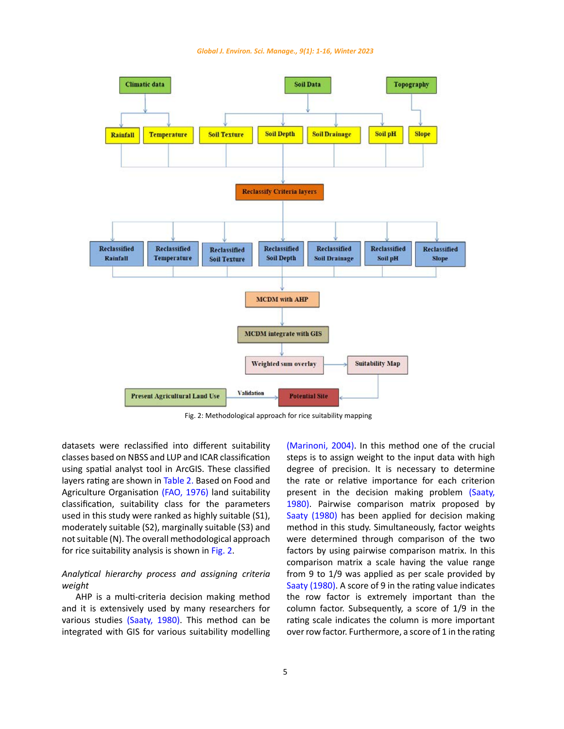<span id="page-4-0"></span>

Fig. 2: Methodological approach for rice suitability mapping

datasets were reclassified into different suitability classes based on NBSS and LUP and ICAR classification using spatial analyst tool in ArcGIS. These classified layers rating are shown in Table 2. Based on Food and Agriculture Organisation [\(FAO, 1976\)](#page-14-0) land suitability classification, suitability class for the parameters used in this study were ranked as highly suitable (S1), moderately suitable (S2), marginally suitable (S3) and not suitable (N). The overall methodological approach for rice suitability analysis is shown in [Fig. 2](#page-4-0).

## *Analytical hierarchy process and assigning criteria weight*

AHP is a multi-criteria decision making method and it is extensively used by many researchers for various studies [\(Saaty, 1980\)](#page-14-0). This method can be integrated with GIS for various suitability modelling [\(Marinoni, 2004\).](#page-14-0) In this method one of the crucial steps is to assign weight to the input data with high degree of precision. It is necessary to determine the rate or relative importance for each criterion present in the decision making problem [\(Saaty,](#page-14-0) [1980\)](#page-14-0). Pairwise comparison matrix proposed by [Saaty \(1980\)](#page-14-0) has been applied for decision making method in this study. Simultaneously, factor weights were determined through comparison of the two factors by using pairwise comparison matrix. In this comparison matrix a scale having the value range from 9 to 1/9 was applied as per scale provided by [Saaty \(1980\)](#page-14-0). A score of 9 in the rating value indicates the row factor is extremely important than the column factor. Subsequently, a score of 1/9 in the rating scale indicates the column is more important over row factor. Furthermore, a score of 1 in the rating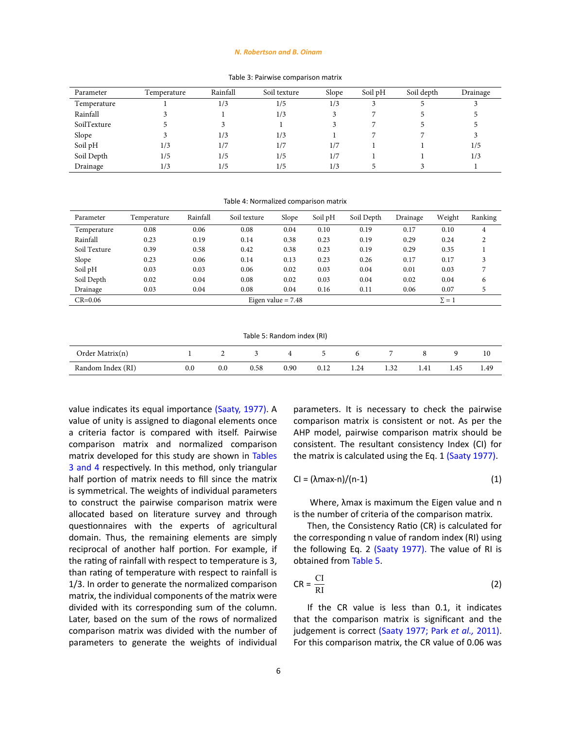#### *N. Robertson and B. Oinam*

# Table 3: Pairwise comparison matrix Table 3: Pairwise comparison matrix

| Parameter   | Temperature | Rainfall | Soil texture | Slope | Soil pH | Soil depth | Drainage |
|-------------|-------------|----------|--------------|-------|---------|------------|----------|
| Temperature |             | 1/3      | 1/5          | 1/3   |         |            |          |
| Rainfall    |             |          | 1/3          |       |         |            |          |
| SoilTexture |             |          |              |       |         |            |          |
| Slope       |             | 1/3      | 1/3          |       |         |            |          |
| Soil pH     | 1/3         | 1/7      | 1/7          | 1/7   |         |            | 1/5      |
| Soil Depth  | 1/5         | 1/5      | 1/5          | 1/7   |         |            | 1/3      |
| Drainage    | 1/3         | 1/5      | 1/5          | 1/3   |         |            |          |

Table 4: Normalized comparison matrix Table 4: Normalized comparison matrix

| Parameter    | Temperature | Rainfall | Soil texture | Slope                | Soil pH | Soil Depth | Drainage | Weight       | Ranking |
|--------------|-------------|----------|--------------|----------------------|---------|------------|----------|--------------|---------|
| Temperature  | 0.08        | 0.06     | 0.08         | 0.04                 | 0.10    | 0.19       | 0.17     | 0.10         | 4       |
| Rainfall     | 0.23        | 0.19     | 0.14         | 0.38                 | 0.23    | 0.19       | 0.29     | 0.24         |         |
| Soil Texture | 0.39        | 0.58     | 0.42         | 0.38                 | 0.23    | 0.19       | 0.29     | 0.35         |         |
| Slope        | 0.23        | 0.06     | 0.14         | 0.13                 | 0.23    | 0.26       | 0.17     | 0.17         |         |
| Soil pH      | 0.03        | 0.03     | 0.06         | 0.02                 | 0.03    | 0.04       | 0.01     | 0.03         | 7       |
| Soil Depth   | 0.02        | 0.04     | 0.08         | 0.02                 | 0.03    | 0.04       | 0.02     | 0.04         | 6       |
| Drainage     | 0.03        | 0.04     | 0.08         | 0.04                 | 0.16    | 0.11       | 0.06     | 0.07         | 5       |
| $CR = 0.06$  |             |          |              | Eigen value $= 7.48$ |         |            |          | $\Sigma = 1$ |         |

Table 5: Random index (RI) Table 5: Random index (RI)

| Order Matrix(n)   |     |      |      |      |      |      |      |      |      |
|-------------------|-----|------|------|------|------|------|------|------|------|
| Random Index (RI) | 0.0 | 0.58 | 0.90 | 0.12 | 1.24 | 1.32 | 1.41 | 1.45 | 1.49 |

value indicates its equal importance [\(Saaty, 1977\)](#page-14-0). A value of unity is assigned to diagonal elements once a criteria factor is compared with itself. Pairwise comparison matrix and normalized comparison matrix developed for this study are shown in Tables 3 [and 4](#page-8-0) respectively. In this method, only triangular half portion of matrix needs to fill since the matrix is symmetrical. The weights of individual parameters to construct the pairwise comparison matrix were allocated based on literature survey and through questionnaires with the experts of agricultural domain. Thus, the remaining elements are simply reciprocal of another half portion. For example, if the rating of rainfall with respect to temperature is 3, than rating of temperature with respect to rainfall is 1/3. In order to generate the normalized comparison matrix, the individual components of the matrix were divided with its corresponding sum of the column. Later, based on the sum of the rows of normalized comparison matrix was divided with the number of parameters to generate the weights of individual parameters. It is necessary to check the pairwise comparison matrix is consistent or not. As per the AHP model, pairwise comparison matrix should be consistent. The resultant consistency Index (CI) for the matrix is calculated using the Eq. 1 [\(Saaty 1977\).](#page-14-0)

$$
Cl = (\lambda max-n)/(n-1)
$$
 (1)

 Where, λmax is maximum the Eigen value and n is the number of criteria of the comparison matrix.

Then, the Consistency Ratio (CR) is calculated for the corresponding n value of random index (RI) using the following Eq. 2 [\(Saaty 1977\)](#page-14-0). The value of RI is obtained from [Table 5.](#page-10-0)

$$
CR = \frac{CI}{RI}
$$
 (2)

If the CR value is less than 0.1, it indicates that the comparison matrix is significant and the judgement is correct [\(Saaty 1977; Park](#page-14-0) *et al.,* 2011). For this comparison matrix, the CR value of 0.06 was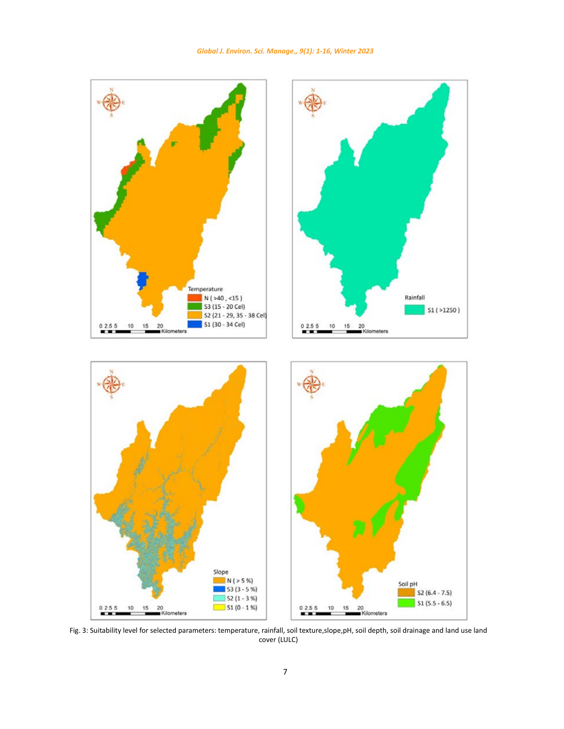

*Global J. Environ. Sci. Manage., 9(1): 1-16, Winter 2023*

<span id="page-6-0"></span>Fig. 3: Suitability level for selected parameters: temperature, rainfall, soil texture,slope,pH, soil depth, soil drainage and land use land cover (LULC)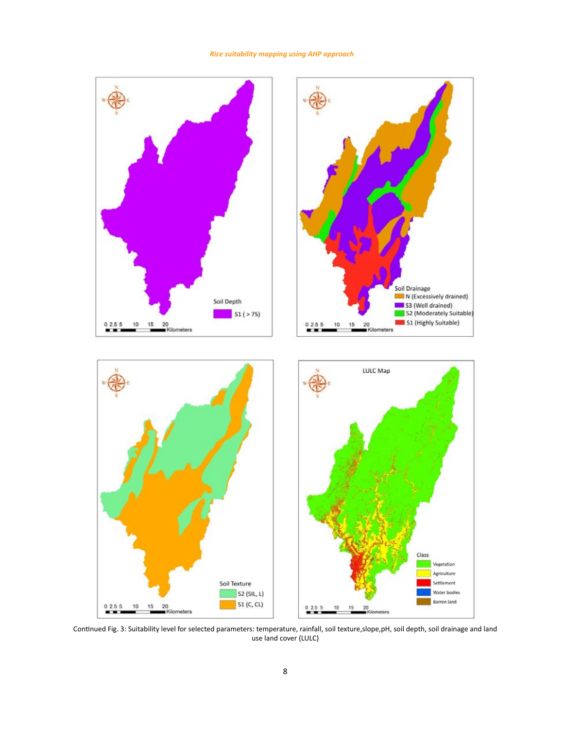## *Rice suitability mapping using AHP approach*



Continued Fig. 3: Suitability level for selected parameters: temperature, rainfall, soil texture,slope,pH, soil depth, soil drainage and land use land cover (LULC)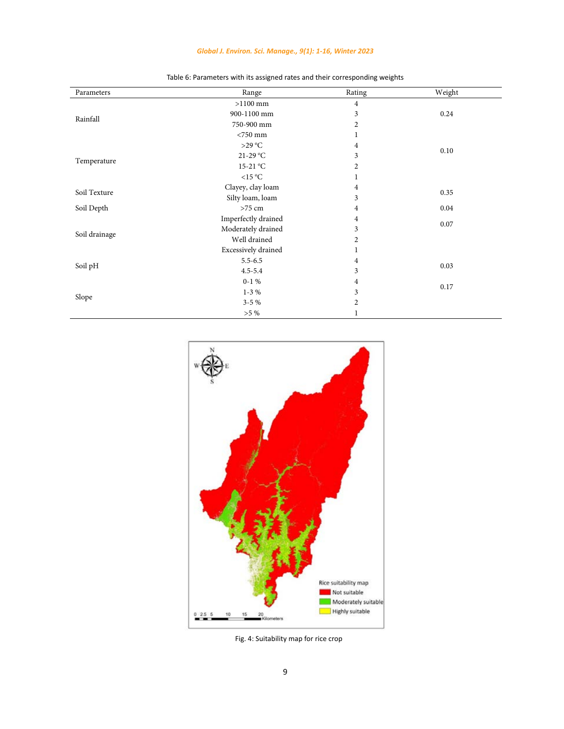## *Global J. Environ. Sci. Manage., 9(1): 1-16, Winter 2023*

| Parameters    | Range               | Rating         | Weight |
|---------------|---------------------|----------------|--------|
|               | $>1100$ mm          | 4              |        |
| Rainfall      | 900-1100 mm         | 3              | 0.24   |
|               | 750-900 mm          | $\overline{2}$ |        |
|               | $<$ 750 mm          | 1              |        |
|               | >29 °C              | $\overline{4}$ | 0.10   |
|               | $21-29$ °C          | 3              |        |
| Temperature   | $15-21$ °C          | $\overline{c}$ |        |
|               | $<15\text{ °C}$     | 1              |        |
| Soil Texture  | Clayey, clay loam   | 4              | 0.35   |
|               | Silty loam, loam    | 3              |        |
| Soil Depth    | $>75$ cm            | 4              | 0.04   |
|               | Imperfectly drained | $\overline{4}$ | 0.07   |
|               | Moderately drained  | 3              |        |
| Soil drainage | Well drained        | $\overline{2}$ |        |
|               | Excessively drained | 1              |        |
|               | $5.5 - 6.5$         | $\overline{4}$ | 0.03   |
| Soil pH       | $4.5 - 5.4$         | 3              |        |
|               | $0-1%$              | 4              | 0.17   |
|               | $1-3%$              |                |        |
| Slope         | $3 - 5\%$           | $\overline{2}$ |        |
|               | $>5\%$              | 1              |        |

Table 6: Parameters with its assigned rates and their corresponding weights Table 6: Parameters with its assigned rates and their corresponding weights



<span id="page-8-0"></span>Fig. 4: Suitability map for rice crop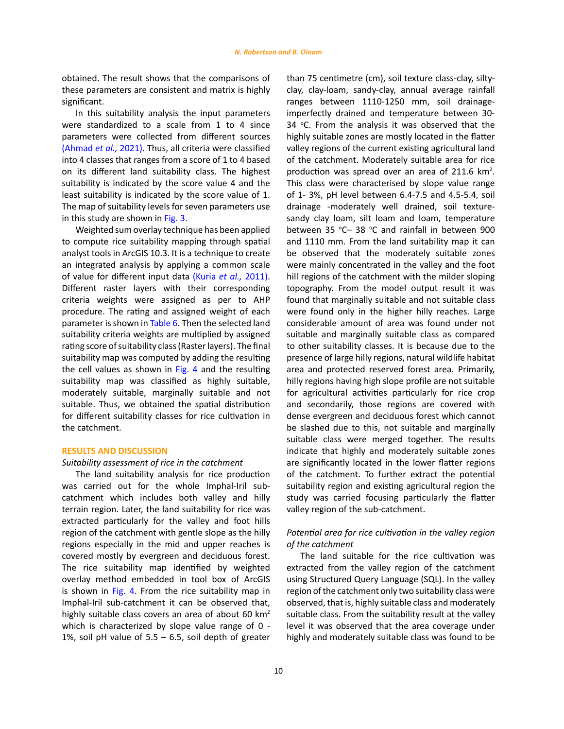obtained. The result shows that the comparisons of these parameters are consistent and matrix is highly significant.

In this suitability analysis the input parameters were standardized to a scale from 1 to 4 since parameters were collected from different sources [\(Ahmad](#page-14-0) *et al.,* 2021). Thus, all criteria were classified into 4 classes that ranges from a score of 1 to 4 based on its different land suitability class. The highest suitability is indicated by the score value 4 and the least suitability is indicated by the score value of 1. The map of suitability levels for seven parameters use in this study are shown in [Fig. 3.](#page-6-0)

Weighted sum overlay technique has been applied to compute rice suitability mapping through spatial analyst tools in ArcGIS 10.3. It is a technique to create an integrated analysis by applying a common scale of value for different input data (Kuria *et al.,* [2011\)](#page-14-0). Different raster layers with their corresponding criteria weights were assigned as per to AHP procedure. The rating and assigned weight of each parameter is shown in Table 6. Then the selected land suitability criteria weights are multiplied by assigned rating score of suitability class (Raster layers). The final suitability map was computed by adding the resulting the cell values as shown in [Fig. 4](#page-8-0) and the resulting suitability map was classified as highly suitable, moderately suitable, marginally suitable and not suitable. Thus, we obtained the spatial distribution for different suitability classes for rice cultivation in the catchment.

## **RESULTS AND DISCUSSION**

## *Suitability assessment of rice in the catchment*

The land suitability analysis for rice production was carried out for the whole Imphal-Iril subcatchment which includes both valley and hilly terrain region. Later, the land suitability for rice was extracted particularly for the valley and foot hills region of the catchment with gentle slope as the hilly regions especially in the mid and upper reaches is covered mostly by evergreen and deciduous forest. The rice suitability map identified by weighted overlay method embedded in tool box of ArcGIS is shown in [Fig. 4.](#page-8-0) From the rice suitability map in Imphal-Iril sub-catchment it can be observed that, highly suitable class covers an area of about 60  $km<sup>2</sup>$ which is characterized by slope value range of 0 - 1%, soil pH value of  $5.5 - 6.5$ , soil depth of greater

than 75 centimetre (cm), soil texture class-clay, siltyclay, clay-loam, sandy-clay, annual average rainfall ranges between 1110-1250 mm, soil drainageimperfectly drained and temperature between 30- 34  $\degree$ C. From the analysis it was observed that the highly suitable zones are mostly located in the flatter valley regions of the current existing agricultural land of the catchment. Moderately suitable area for rice production was spread over an area of 211.6  $km^2$ . This class were characterised by slope value range of 1- 3%, pH level between 6.4-7.5 and 4.5-5.4, soil drainage -moderately well drained, soil texturesandy clay loam, silt loam and loam, temperature between 35  $\degree$ C – 38  $\degree$ C and rainfall in between 900 and 1110 mm. From the land suitability map it can be observed that the moderately suitable zones were mainly concentrated in the valley and the foot hill regions of the catchment with the milder sloping topography. From the model output result it was found that marginally suitable and not suitable class were found only in the higher hilly reaches. Large considerable amount of area was found under not suitable and marginally suitable class as compared to other suitability classes. It is because due to the presence of large hilly regions, natural wildlife habitat area and protected reserved forest area. Primarily, hilly regions having high slope profile are not suitable for agricultural activities particularly for rice crop and secondarily, those regions are covered with dense evergreen and deciduous forest which cannot be slashed due to this, not suitable and marginally suitable class were merged together. The results indicate that highly and moderately suitable zones are significantly located in the lower flatter regions of the catchment. To further extract the potential suitability region and existing agricultural region the study was carried focusing particularly the flatter valley region of the sub-catchment.

# *Potential area for rice cultivation in the valley region of the catchment*

The land suitable for the rice cultivation was extracted from the valley region of the catchment using Structured Query Language (SQL). In the valley region of the catchment only two suitability class were observed, that is, highly suitable class and moderately suitable class. From the suitability result at the valley level it was observed that the area coverage under highly and moderately suitable class was found to be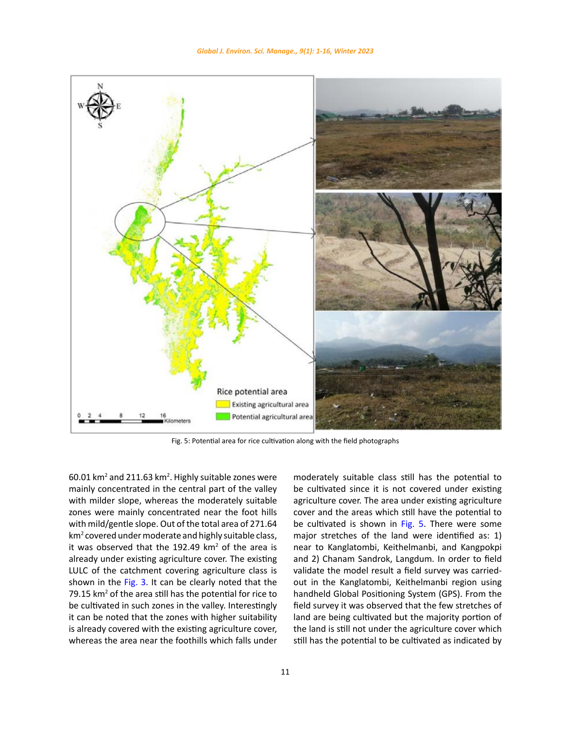

Fig. 5: Potential area for rice cultivation along with the field photographs

 $60.01$  km<sup>2</sup> and 211.63 km<sup>2</sup>. Highly suitable zones were mainly concentrated in the central part of the valley with milder slope, whereas the moderately suitable zones were mainly concentrated near the foot hills with mild/gentle slope. Out of the total area of 271.64 km<sup>2</sup> covered under moderate and highly suitable class, it was observed that the 192.49  $km^2$  of the area is already under existing agriculture cover. The existing LULC of the catchment covering agriculture class is shown in the [Fig. 3](#page-6-0). It can be clearly noted that the 79.15  $km<sup>2</sup>$  of the area still has the potential for rice to be cultivated in such zones in the valley. Interestingly it can be noted that the zones with higher suitability is already covered with the existing agriculture cover, whereas the area near the foothills which falls under

<span id="page-10-0"></span>moderately suitable class still has the potential to be cultivated since it is not covered under existing agriculture cover. The area under existing agriculture cover and the areas which still have the potential to be cultivated is shown in [Fig. 5.](#page-10-0) There were some major stretches of the land were identified as: 1) near to Kanglatombi, Keithelmanbi, and Kangpokpi and 2) Chanam Sandrok, Langdum. In order to field validate the model result a field survey was carriedout in the Kanglatombi, Keithelmanbi region using handheld Global Positioning System (GPS). From the field survey it was observed that the few stretches of land are being cultivated but the majority portion of the land is still not under the agriculture cover which still has the potential to be cultivated as indicated by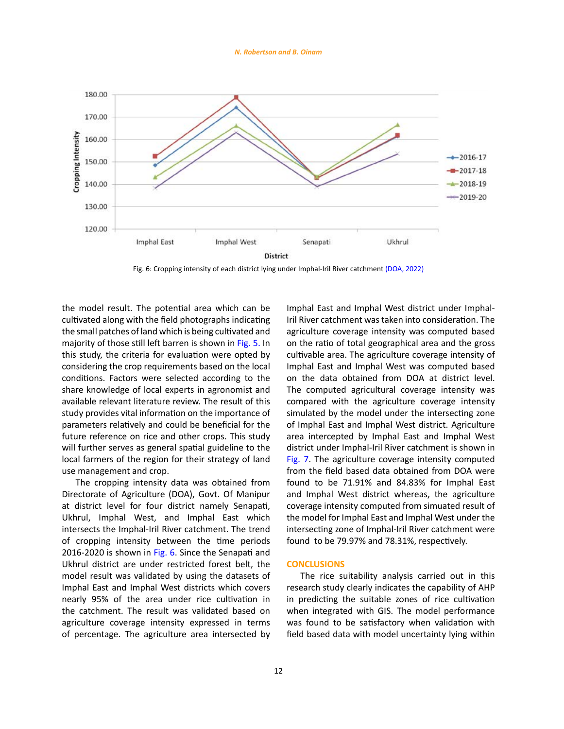*N. Robertson and B. Oinam*

<span id="page-11-0"></span>

Fig. 6: Cropping intensity of each district lying under Imphal-Iril River catchment (DOA, 2022)

the model result. The potential area which can be cultivated along with the field photographs indicating the small patches of land which is being cultivated and majority of those still left barren is shown in [Fig. 5.](#page-10-0) In this study, the criteria for evaluation were opted by considering the crop requirements based on the local conditions. Factors were selected according to the share knowledge of local experts in agronomist and available relevant literature review. The result of this study provides vital information on the importance of parameters relatively and could be beneficial for the future reference on rice and other crops. This study will further serves as general spatial guideline to the local farmers of the region for their strategy of land use management and crop.

The cropping intensity data was obtained from Directorate of Agriculture (DOA), Govt. Of Manipur at district level for four district namely Senapati, Ukhrul, Imphal West, and Imphal East which intersects the Imphal-Iril River catchment. The trend of cropping intensity between the time periods 2016-2020 is shown in [Fig. 6](#page-11-0). Since the Senapati and Ukhrul district are under restricted forest belt, the model result was validated by using the datasets of Imphal East and Imphal West districts which covers nearly 95% of the area under rice cultivation in the catchment. The result was validated based on agriculture coverage intensity expressed in terms of percentage. The agriculture area intersected by

share knowledge of local experts in agronomist and The computed agricultural coverage intensity was<br> s compared with the agriculture coverage intensity Imphal East and Imphal West district under Imphal-Iril River catchment was taken into consideration. The agriculture coverage intensity was computed based on the ratio of total geographical area and the gross cultivable area. The agriculture coverage intensity of Imphal East and Imphal West was computed based on the data obtained from DOA at district level. simulated by the model under the intersecting zone of Imphal East and Imphal West district. Agriculture area intercepted by Imphal East and Imphal West district under Imphal-Iril River catchment is shown in [Fig. 7](#page-12-0). The agriculture coverage intensity computed from the field based data obtained from DOA were found to be 71.91% and 84.83% for Imphal East and Imphal West district whereas, the agriculture coverage intensity computed from simuated result of the model for Imphal East and Imphal West under the intersecting zone of Imphal-Iril River catchment were found to be 79.97% and 78.31%, respectively.

#### **CONCLUSIONS**

The rice suitability analysis carried out in this research study clearly indicates the capability of AHP in predicting the suitable zones of rice cultivation when integrated with GIS. The model performance was found to be satisfactory when validation with field based data with model uncertainty lying within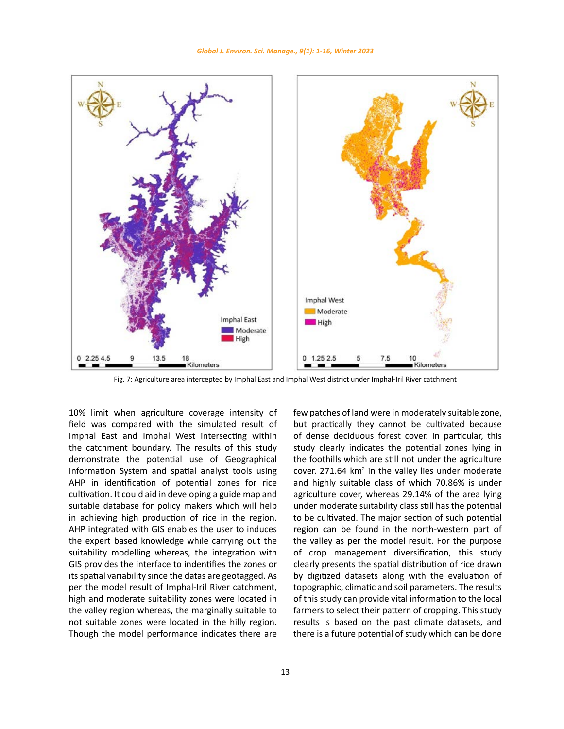<span id="page-12-0"></span>

Fig. 7: Agriculture area intercepted by Imphal East and Imphal West district under Imphal-Iril River catchment

10% limit when agriculture coverage intensity of field was compared with the simulated result of Imphal East and Imphal West intersecting within the catchment boundary. The results of this study demonstrate the potential use of Geographical Information System and spatial analyst tools using AHP in identification of potential zones for rice cultivation. It could aid in developing a guide map and suitable database for policy makers which will help in achieving high production of rice in the region. AHP integrated with GIS enables the user to induces the expert based knowledge while carrying out the suitability modelling whereas, the integration with GIS provides the interface to indentifies the zones or its spatial variability since the datas are geotagged. As per the model result of Imphal-Iril River catchment, high and moderate suitability zones were located in the valley region whereas, the marginally suitable to not suitable zones were located in the hilly region. Though the model performance indicates there are .0% limit when agriculture coverage intensity of fewpatches of land were in moderately suitable zone,

but practically they cannot be cultivated because of dense deciduous forest cover. In particular, this study clearly indicates the potential zones lying in the foothills which are still not under the agriculture cover.  $271.64 \text{ km}^2$  in the valley lies under moderate and highly suitable class of which 70.86% is under agriculture cover, whereas 29.14% of the area lying under moderate suitability class still has the potential to be cultivated. The major section of such potential region can be found in the north-western part of the valley as per the model result. For the purpose of crop management diversification, this study clearly presents the spatial distribution of rice drawn by digitized datasets along with the evaluation of topographic, climatic and soil parameters. The results of this study can provide vital information to the local farmers to select their pattern of cropping. This study results is based on the past climate datasets, and there is a future potential of study which can be done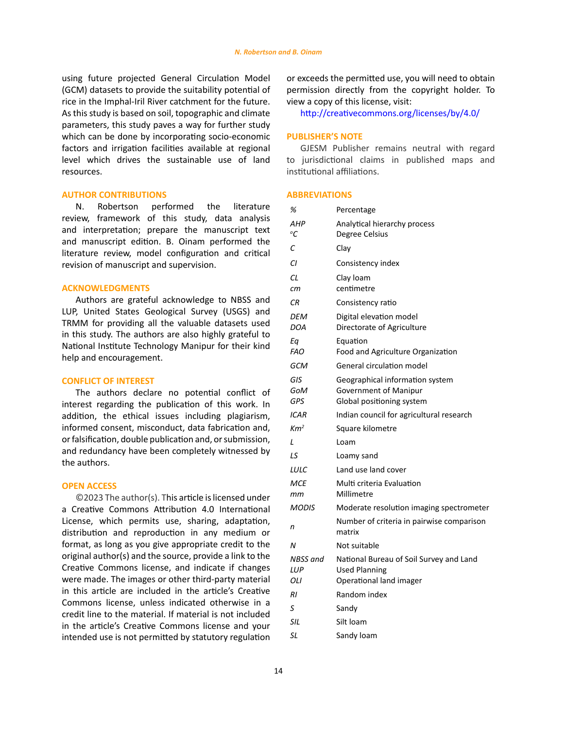using future projected General Circulation Model (GCM) datasets to provide the suitability potential of rice in the Imphal-Iril River catchment for the future. As this study is based on soil, topographic and climate parameters, this study paves a way for further study which can be done by incorporating socio-economic factors and irrigation facilities available at regional level which drives the sustainable use of land resources.

## **AUTHOR CONTRIBUTIONS**

N. Robertson performed the literature review, framework of this study, data analysis and interpretation; prepare the manuscript text and manuscript edition. B. Oinam performed the literature review, model configuration and critical revision of manuscript and supervision.

# **ACKNOWLEDGMENTS**

Authors are grateful acknowledge to NBSS and LUP, United States Geological Survey (USGS) and TRMM for providing all the valuable datasets used in this study. The authors are also highly grateful to National Institute Technology Manipur for their kind help and encouragement.

#### **CONFLICT OF INTEREST**

The authors declare no potential conflict of interest regarding the publication of this work. In addition, the ethical issues including plagiarism, informed consent, misconduct, data fabrication and, or falsification, double publication and, or submission, and redundancy have been completely witnessed by the authors.

## **OPEN ACCESS**

©2023 The author(s). This article is licensed under a Creative Commons Attribution 4.0 International License, which permits use, sharing, adaptation, distribution and reproduction in any medium or format, as long as you give appropriate credit to the original author(s) and the source, provide a link to the Creative Commons license, and indicate if changes were made. The images or other third-party material in this article are included in the article's Creative Commons license, unless indicated otherwise in a credit line to the material. If material is not included in the article's Creative Commons license and your intended use is not permitted by statutory regulation or exceeds the permitted use, you will need to obtain permission directly from the copyright holder. To view a copy of this license, visit:

<http://creativecommons.org/licenses/by/4.0/>

## **PUBLISHER'S NOTE**

GJESM Publisher remains neutral with regard to jurisdictional claims in published maps and institutional affiliations.

## **ABBREVIATIONS**

| %                      | Percentage                                                                                 |
|------------------------|--------------------------------------------------------------------------------------------|
| AHP<br>°C              | Analytical hierarchy process<br>Degree Celsius                                             |
| С                      | Clav                                                                                       |
| СI                     | Consistency index                                                                          |
| СL<br>сm               | Clay loam<br>centimetre                                                                    |
| СR                     | Consistency ratio                                                                          |
| DEM<br><b>DOA</b>      | Digital elevation model<br>Directorate of Agriculture                                      |
| Еq<br><b>FAO</b>       | Equation<br>Food and Agriculture Organization                                              |
| GCM                    | General circulation model                                                                  |
| GIS<br>GoM<br>GPS      | Geographical information system<br>Government of Manipur<br>Global positioning system      |
| ICAR                   | Indian council for agricultural research                                                   |
| Km <sup>2</sup>        | Square kilometre                                                                           |
| L                      | Loam                                                                                       |
| LS                     | Loamy sand                                                                                 |
| LULC                   | Land use land cover                                                                        |
| MCE                    | Multi criteria Evaluation                                                                  |
| mт                     | Millimetre                                                                                 |
| <b>MODIS</b>           | Moderate resolution imaging spectrometer                                                   |
| n                      | Number of criteria in pairwise comparison<br>matrix                                        |
| Ν                      | Not suitable                                                                               |
| NBSS and<br>LUP<br>OLI | National Bureau of Soil Survey and Land<br><b>Used Planning</b><br>Operational land imager |
| RI                     | Random index                                                                               |
| S                      | Sandy                                                                                      |
| SIL                    | Silt Ioam                                                                                  |
| SL                     | Sandy loam                                                                                 |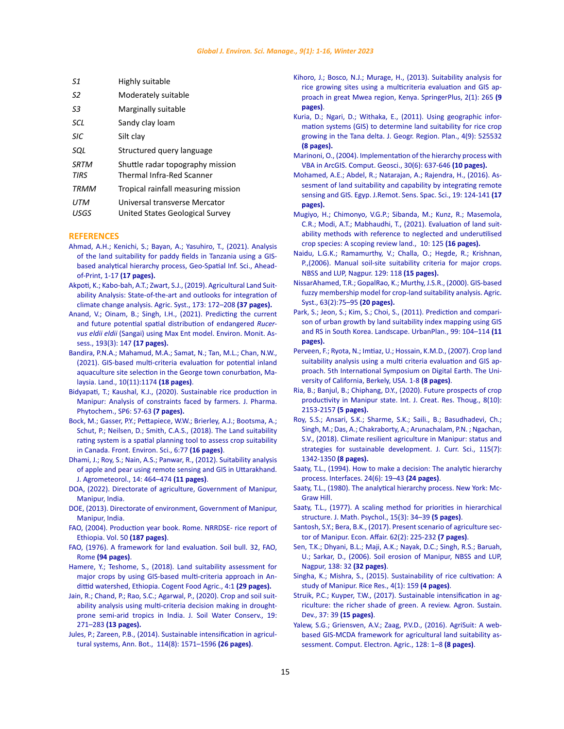<span id="page-14-0"></span>

| S1                         | Highly suitable                                                      |
|----------------------------|----------------------------------------------------------------------|
| S2                         | Moderately suitable                                                  |
| S3                         | Marginally suitable                                                  |
| SCL                        | Sandy clay loam                                                      |
| <b>SIC</b>                 | Silt clay                                                            |
| SOL                        | Structured query language                                            |
| <b>SRTM</b><br><b>TIRS</b> | Shuttle radar topography mission<br><b>Thermal Infra-Red Scanner</b> |
| <b>TRMM</b>                | Tropical rainfall measuring mission                                  |
| UTM<br>USGS                | Universal transverse Mercator<br>United States Geological Survey     |

#### **REFERENCES**

- [Ahmad, A.H.; Kenichi, S.; Bayan, A.; Yasuhiro, T., \(2021\). Analysis](https://www.tandfonline.com/doi/epub/10.1080/10095020.2021.2004079?needAccess=true)  [of the land suitability for paddy fields in Tanzania using a GIS](https://www.tandfonline.com/doi/epub/10.1080/10095020.2021.2004079?needAccess=true)[based analytical hierarchy process, Geo-Spatial Inf. Sci., Ahead](https://www.tandfonline.com/doi/epub/10.1080/10095020.2021.2004079?needAccess=true)[of-Print, 1-17](https://www.tandfonline.com/doi/epub/10.1080/10095020.2021.2004079?needAccess=true) **(17 pages).**
- [Akpoti, K.; Kabo-bah, A.T.; Zwart, S.J., \(2019\). Agricultural Land Suit](https://ideas.repec.org/a/eee/agisys/v173y2019icp172-208.html)[ability Analysis: State-of-the-art and outlooks for integration of](https://ideas.repec.org/a/eee/agisys/v173y2019icp172-208.html)  [climate change analysis. Agric. Syst., 173: 172–208](https://ideas.repec.org/a/eee/agisys/v173y2019icp172-208.html) **(37 pages).**
- [Anand, V.; Oinam, B.; Singh, I.H., \(2021\). Predicting the current](https://pubmed.ncbi.nlm.nih.gov/33638015/)  [and future potential spatial distribution of endangered](https://pubmed.ncbi.nlm.nih.gov/33638015/) *Rucervus eldii eldii* [\(Sangai\) using Max Ent model.](https://pubmed.ncbi.nlm.nih.gov/33638015/) Environ. Monit. Assess., 193(3): 147 **[\(17 pages\).](https://pubmed.ncbi.nlm.nih.gov/33638015/)**
- [Bandira, P.N.A.; Mahamud, M.A.; Samat, N.; Tan, M.L.; Chan, N.W.,](https://www.mdpi.com/2073-445X/10/11/1174)  [\(2021\). GIS-based multi-criteria evaluation for potential inland](https://www.mdpi.com/2073-445X/10/11/1174)  [aquaculture site selection in the George town conurbation, Ma](https://www.mdpi.com/2073-445X/10/11/1174)laysia. [Land., 10\(11\):1174](https://www.mdpi.com/2073-445X/10/11/1174) **(18 pages)**.
- [Bidyapati, T.; Kaushal, K.J., \(2020\). Sustainable rice production in](https://www.researchgate.net/publication/346651165_Sustainable_rice_production_in_Manipur_Analysis_of_constraints_faced_by_farmers)  [Manipur: Analysis of constraints faced by farmers. J. Pharma.](https://www.researchgate.net/publication/346651165_Sustainable_rice_production_in_Manipur_Analysis_of_constraints_faced_by_farmers)  [Phytochem., SP6: 57-63](https://www.researchgate.net/publication/346651165_Sustainable_rice_production_in_Manipur_Analysis_of_constraints_faced_by_farmers) **(7 pages).**
- [Bock, M.; Gasser, P.Y.; Pettapiece, W.W.; Brierley, A.J.; Bootsma, A.;](https://www.frontiersin.org/articles/10.3389/fenvs.2018.00077/full)  [Schut, P.; Neilsen, D.; Smith, C.A.S., \(2018\). The Land suitability](https://www.frontiersin.org/articles/10.3389/fenvs.2018.00077/full)  [rating system is a spatial planning tool to assess crop suitability](https://www.frontiersin.org/articles/10.3389/fenvs.2018.00077/full)  in Canada. [Front. Environ. Sci., 6:77](https://www.frontiersin.org/articles/10.3389/fenvs.2018.00077/full) **(16 pages)**.
- [Dhami, J.; Roy, S.; Nain, A.S.; Panwar, R., \(2012\). Suitability analysis](https://www.researchgate.net/publication/269844769_Suitability_analysis_of_apple_and_pear_using_remote_sensing_and_GIS_in_Uttarakhand)  [of apple and pear using remote sensing and GIS in Uttarakhand.](https://www.researchgate.net/publication/269844769_Suitability_analysis_of_apple_and_pear_using_remote_sensing_and_GIS_in_Uttarakhand)  [J. Agrometeorol., 14: 464–474](https://www.researchgate.net/publication/269844769_Suitability_analysis_of_apple_and_pear_using_remote_sensing_and_GIS_in_Uttarakhand) **(11 pages)**.
- [DOA, \(2022\). Directorate of agriculture, Government of Manipur,](http://www.agrimanipur.gov.in/district-wise-area-production/)  [Manipur, India.](http://www.agrimanipur.gov.in/district-wise-area-production/)
- [DOE, \(2013\). Directorate of environment, Government of Manipur,](http://environmentmanipur.gov.in/)  [Manipur, India.](http://environmentmanipur.gov.in/)
- [FAO, \(2004\). Production year book. Rome. NRRDSE- rice report of](https://www.fao.org/3/a-i3620e.pdf)  [Ethiopia. Vol. 50](https://www.fao.org/3/a-i3620e.pdf) **(187 pages)**.
- [FAO, \(1976\). A framework for land evaluation. Soil bull. 32, FAO,](https://www.fao.org/3/x5310e/x5310e00.htm)  Rome **[\(94 pages\)](https://www.fao.org/3/x5310e/x5310e00.htm)**.
- [Hamere, Y.; Teshome, S., \(2018\). Land suitability assessment for](https://www.tandfonline.com/doi/full/10.1080/23311932.2018.1470481)  [major crops by using GIS-based multi-criteria approach in An](https://www.tandfonline.com/doi/full/10.1080/23311932.2018.1470481)[dittid watershed, Ethiopia. Cogent Food Agric., 4:1](https://www.tandfonline.com/doi/full/10.1080/23311932.2018.1470481) **(29 pages).**
- [Jain, R.; Chand, P.; Rao, S.C.; Agarwal, P., \(2020\). Crop and soil suit](https://indianjournals.com/ijor.aspx?target=ijor:jswc&volume=19&issue=3&article=006)[ability analysis using multi-criteria decision making in drought](https://indianjournals.com/ijor.aspx?target=ijor:jswc&volume=19&issue=3&article=006)[prone semi-arid tropics in India. J. Soil Water Conserv., 19:](https://indianjournals.com/ijor.aspx?target=ijor:jswc&volume=19&issue=3&article=006)  271–283 **[\(13 pages\).](https://indianjournals.com/ijor.aspx?target=ijor:jswc&volume=19&issue=3&article=006)**
- [Jules, P.; Zareen, P.B., \(2014\). Sustainable intensification in agricul](https://academic.oup.com/aob/article/114/8/1571/210078)[tural systems, Ann. Bot., 114\(8\): 1571–1596](https://academic.oup.com/aob/article/114/8/1571/210078) **(26 pages)**.
- [Kihoro, J.; Bosco, N.J.; Murage, H., \(2013\). Suitability analysis for](https://springerplus.springeropen.com/articles/10.1186/2193-1801-2-265) [rice growing sites using a multicriteria evaluation and GIS ap](https://springerplus.springeropen.com/articles/10.1186/2193-1801-2-265)[proach in great Mwea region, Kenya.](https://springerplus.springeropen.com/articles/10.1186/2193-1801-2-265) SpringerPlus, 2(1): 265 **(9 [pages\)](https://springerplus.springeropen.com/articles/10.1186/2193-1801-2-265)**.
- [Kuria, D.; Ngari, D.; Withaka, E., \(2011\). Using geographic infor](https://academicjournals.org/article/article1381846450_Kuria%20et%20al.pdf)[mation systems \(GIS\) to determine land suitability for rice crop](https://academicjournals.org/article/article1381846450_Kuria%20et%20al.pdf) [growing in the Tana delta. J. Geogr. Region. Plan., 4\(9\): 525532](https://academicjournals.org/article/article1381846450_Kuria%20et%20al.pdf) **[\(8 pages\).](https://academicjournals.org/article/article1381846450_Kuria%20et%20al.pdf)**
- [Marinoni, O., \(2004\). Implementation of the hierarchy process with](https://www.sciencedirect.com/science/article/pii/S0098300404000652?via%3Dihub) [VBA in ArcGIS. Comput. Geosci., 30\(6\): 637-646](https://www.sciencedirect.com/science/article/pii/S0098300404000652?via%3Dihub) **(10 pages).**
- [Mohamed, A.E.; Abdel, R.; Natarajan, A.; Rajendra, H., \(2016\). As](https://www.sciencedirect.com/science/article/pii/S111098231600003X?via%3Dihub)[sesment of land suitability and capability by integrating remote](https://www.sciencedirect.com/science/article/pii/S111098231600003X?via%3Dihub) [sensing and GIS. Egyp. J.Remot. Sens. Spac. Sci., 19: 124-141](https://www.sciencedirect.com/science/article/pii/S111098231600003X?via%3Dihub) **(17 [pages\).](https://www.sciencedirect.com/science/article/pii/S111098231600003X?via%3Dihub)**
- [Mugiyo, H.; Chimonyo, V.G.P.; Sibanda, M.; Kunz, R.; Masemola,](https://www.mdpi.com/2073-445X/10/2/125) [C.R.; Modi, A.T.; Mabhaudhi, T., \(2021\). Evaluation of land suit](https://www.mdpi.com/2073-445X/10/2/125)[ability methods with reference to neglected and underutilised](https://www.mdpi.com/2073-445X/10/2/125) [crop species: A scoping review land., 10: 125](https://www.mdpi.com/2073-445X/10/2/125) **(16 pages).**
- [Naidu, L.G.K.; Ramamurthy, V.; Challa, O.; Hegde, R.; Krishnan,](http://isslup.in/wp-content/uploads/2018/09/Agropadiology-Dec-2016-2.pdf) [P.,\(2006\). Manual soil-site suitability criteria for major crops.](http://isslup.in/wp-content/uploads/2018/09/Agropadiology-Dec-2016-2.pdf) [NBSS and LUP, Nagpur. 129: 118](http://isslup.in/wp-content/uploads/2018/09/Agropadiology-Dec-2016-2.pdf) **(15 pages).**
- [NissarAhamed, T.R.; GopalRao, K.; Murthy, J.S.R., \(2000\). GIS-based](https://citeseerx.ist.psu.edu/viewdoc/download?doi=10.1.1.471.2725&rep=rep1&type=pdf) [fuzzy membership model for crop-land suitability analysis. Agric.](https://citeseerx.ist.psu.edu/viewdoc/download?doi=10.1.1.471.2725&rep=rep1&type=pdf) [Syst., 63\(2\):75–95](https://citeseerx.ist.psu.edu/viewdoc/download?doi=10.1.1.471.2725&rep=rep1&type=pdf) **(20 pages).**
- [Park, S.; Jeon, S.; Kim, S.; Choi, S., \(2011\). Prediction and compari](https://www.sciencedirect.com/science/article/abs/pii/S0169204610002367)[son of urban growth by land suitability index mapping using GIS](https://www.sciencedirect.com/science/article/abs/pii/S0169204610002367) [and RS in South Korea. Landscape. UrbanPlan., 99: 104–114](https://www.sciencedirect.com/science/article/abs/pii/S0169204610002367) **(11 [pages\).](https://www.sciencedirect.com/science/article/abs/pii/S0169204610002367)**
- [Perveen, F.; Ryota, N.; Imtiaz, U.; Hossain, K.M.D., \(2007\). Crop land](https://www.semanticscholar.org/paper/CROP-LAND-SUITABILITY-ANALYSIS-USING-A-EVALUATION-%26-Perveen-Nagasawa/a1cfddc2bf49448871e9bcad5bd1a6c07306eb76) [suitability analysis using a multi criteria evaluation and GIS ap](https://www.semanticscholar.org/paper/CROP-LAND-SUITABILITY-ANALYSIS-USING-A-EVALUATION-%26-Perveen-Nagasawa/a1cfddc2bf49448871e9bcad5bd1a6c07306eb76)[proach. 5th International Symposium on Digital Earth. The Uni](https://www.semanticscholar.org/paper/CROP-LAND-SUITABILITY-ANALYSIS-USING-A-EVALUATION-%26-Perveen-Nagasawa/a1cfddc2bf49448871e9bcad5bd1a6c07306eb76)[versity of California, Berkely, USA. 1-8](https://www.semanticscholar.org/paper/CROP-LAND-SUITABILITY-ANALYSIS-USING-A-EVALUATION-%26-Perveen-Nagasawa/a1cfddc2bf49448871e9bcad5bd1a6c07306eb76) **(8 pages)**.
- [Ria, B.; Banjul, B.; Chiphang, D.Y., \(2020\). Future prospects of crop](https://www.ijcrt.org/papers/IJCRT2010289.pdf) [productivity in Manipur state. Int. J. Creat. Res. Thoug., 8\(10\):](https://www.ijcrt.org/papers/IJCRT2010289.pdf) [2153-2157](https://www.ijcrt.org/papers/IJCRT2010289.pdf) **(5 pages).**
- [Roy, S.S.; Ansari, S.K.; Sharme, S.K.; Saili., B.; Basudhadevi, Ch.;](https://www.semanticscholar.org/paper/Climate-resilient-agriculture-in-Manipur%3A-status-Roy-Ansari/74557f0dc746076f1c4e8a9162d28a2bf4459289) [Singh, M.; Das, A.; Chakraborty, A.; Arunachalam, P.N. ; Ngachan,](https://www.semanticscholar.org/paper/Climate-resilient-agriculture-in-Manipur%3A-status-Roy-Ansari/74557f0dc746076f1c4e8a9162d28a2bf4459289) [S.V., \(2018\). Climate resilient agriculture in Manipur: status and](https://www.semanticscholar.org/paper/Climate-resilient-agriculture-in-Manipur%3A-status-Roy-Ansari/74557f0dc746076f1c4e8a9162d28a2bf4459289) [strategies for sustainable development. J. Curr. Sci., 115\(7\):](https://www.semanticscholar.org/paper/Climate-resilient-agriculture-in-Manipur%3A-status-Roy-Ansari/74557f0dc746076f1c4e8a9162d28a2bf4459289) [1342-1350](https://www.semanticscholar.org/paper/Climate-resilient-agriculture-in-Manipur%3A-status-Roy-Ansari/74557f0dc746076f1c4e8a9162d28a2bf4459289) **(8 pages).**
- [Saaty, T.L., \(1994\). How to make a decision: The analytic hierarchy](https://pubsonline.informs.org/doi/abs/10.1287/inte.24.6.19) [process. Interfaces. 24\(6\): 19–43](https://pubsonline.informs.org/doi/abs/10.1287/inte.24.6.19) **(24 pages)**.
- [Saaty, T.L., \(1980\). The analytical hierarchy process. New York: Mc](https://www.scirp.org/(S(lz5mqp453edsnp55rrgjct55))/reference/ReferencesPapers.aspx?ReferenceID=1943982)-[Graw Hill.](https://www.scirp.org/(S(lz5mqp453edsnp55rrgjct55))/reference/ReferencesPapers.aspx?ReferenceID=1943982)
- [Saaty, T.L., \(1977\). A scaling method for priorities in hierarchical](http://linkinghub.elsevier.com/retrieve/pii/0022249677900335) [structure. J. Math. Psychol., 15\(3\): 34–39](http://linkinghub.elsevier.com/retrieve/pii/0022249677900335) **(5 pages)**.
- [Santosh, S.Y.; Bera, B.K., \(2017\). Present scenario of agriculture sec](http://ndpublisher.in/admin/issues/EAv62no2d.pdf)[tor of Manipur. Econ. Affair. 62\(2\): 225-232](http://ndpublisher.in/admin/issues/EAv62no2d.pdf) **(7 pages)**.
- [Sen, T.K.; Dhyani, B.L.; Maji, A.K.; Nayak, D.C.; Singh, R.S.; Baruah,](https://scholar.google.ru/scholar?hl=en&as_sdt=0%2C5&q=B.L.+Dhyani%2C+soil+erosion+of+manipur&btnG=) [U.; Sarkar, D., \(2006\). Soil erosion of Manipur, NBSS and LUP,](https://scholar.google.ru/scholar?hl=en&as_sdt=0%2C5&q=B.L.+Dhyani%2C+soil+erosion+of+manipur&btnG=) [Nagpur, 138: 32](https://scholar.google.ru/scholar?hl=en&as_sdt=0%2C5&q=B.L.+Dhyani%2C+soil+erosion+of+manipur&btnG=) **(32 pages)**.
- [Singha, K.; Mishra, S., \(2015\). Sustainability of rice cultivation: A](https://www.omicsonline.org/open-access/sustainability-of-rice-cultivation-a-study-of-manipur-2375-4338-1000159.php?aid=66930) [study of Manipur. Rice Res., 4\(1\): 159](https://www.omicsonline.org/open-access/sustainability-of-rice-cultivation-a-study-of-manipur-2375-4338-1000159.php?aid=66930) **(4 pages)**.
- [Struik, P.C.; Kuyper, T.W., \(2017\). Sustainable intensification in ag](https://link.springer.com/article/10.1007/s13593-017-0445-7)[riculture: the richer shade of green. A review.](https://link.springer.com/article/10.1007/s13593-017-0445-7) Agron. Sustain. Dev., 37: 39 **[\(15 pages\)](https://link.springer.com/article/10.1007/s13593-017-0445-7)**.
- [Yalew, S.G.; Griensven, A.V.; Zaag, P.V.D., \(2016\). AgriSuit: A web](https://www.sciencedirect.com/science/article/abs/pii/S0168169916306056?via%3Dihub)[based GIS-MCDA framework for agricultural land suitability as](https://www.sciencedirect.com/science/article/abs/pii/S0168169916306056?via%3Dihub)[sessment. Comput. Electron. Agric., 128: 1–8](https://www.sciencedirect.com/science/article/abs/pii/S0168169916306056?via%3Dihub) **(8 pages)**.